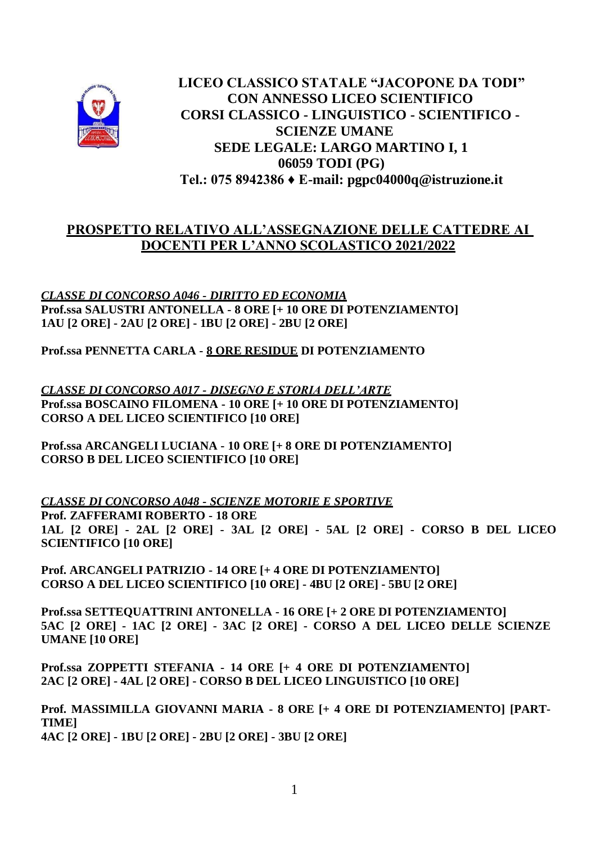

**LICEO CLASSICO STATALE "JACOPONE DA TODI" CON ANNESSO LICEO SCIENTIFICO CORSI CLASSICO - LINGUISTICO - SCIENTIFICO - SCIENZE UMANE SEDE LEGALE: LARGO MARTINO I, 1 06059 TODI (PG) Tel.: 075 8942386 ♦ E-mail: [pgpc04000q@istruzione.it](mailto:pgpc04000q@istruzione.it)**

## **PROSPETTO RELATIVO ALL'ASSEGNAZIONE DELLE CATTEDRE AI DOCENTI PER L'ANNO SCOLASTICO 2021/2022**

*CLASSE DI CONCORSO A046 - DIRITTO ED ECONOMIA* **Prof.ssa SALUSTRI ANTONELLA - 8 ORE [+ 10 ORE DI POTENZIAMENTO] 1AU [2 ORE] - 2AU [2 ORE] - 1BU [2 ORE] - 2BU [2 ORE]**

**Prof.ssa PENNETTA CARLA - 8 ORE RESIDUE DI POTENZIAMENTO**

*CLASSE DI CONCORSO A017 - DISEGNO E STORIA DELL'ARTE* **Prof.ssa BOSCAINO FILOMENA - 10 ORE [+ 10 ORE DI POTENZIAMENTO] CORSO A DEL LICEO SCIENTIFICO [10 ORE]** 

**Prof.ssa ARCANGELI LUCIANA - 10 ORE [+ 8 ORE DI POTENZIAMENTO] CORSO B DEL LICEO SCIENTIFICO [10 ORE]** 

*CLASSE DI CONCORSO A048 - SCIENZE MOTORIE E SPORTIVE* **Prof. ZAFFERAMI ROBERTO - 18 ORE 1AL [2 ORE] - 2AL [2 ORE] - 3AL [2 ORE] - 5AL [2 ORE] - CORSO B DEL LICEO SCIENTIFICO [10 ORE]**

**Prof. ARCANGELI PATRIZIO - 14 ORE [+ 4 ORE DI POTENZIAMENTO] CORSO A DEL LICEO SCIENTIFICO [10 ORE] - 4BU [2 ORE] - 5BU [2 ORE]** 

**Prof.ssa SETTEQUATTRINI ANTONELLA - 16 ORE [+ 2 ORE DI POTENZIAMENTO] 5AC [2 ORE] - 1AC [2 ORE] - 3AC [2 ORE] - CORSO A DEL LICEO DELLE SCIENZE UMANE [10 ORE]**

**Prof.ssa ZOPPETTI STEFANIA - 14 ORE [+ 4 ORE DI POTENZIAMENTO] 2AC [2 ORE] - 4AL [2 ORE] - CORSO B DEL LICEO LINGUISTICO [10 ORE]**

**Prof. MASSIMILLA GIOVANNI MARIA - 8 ORE [+ 4 ORE DI POTENZIAMENTO] [PART-TIME] 4AC [2 ORE] - 1BU [2 ORE] - 2BU [2 ORE] - 3BU [2 ORE]**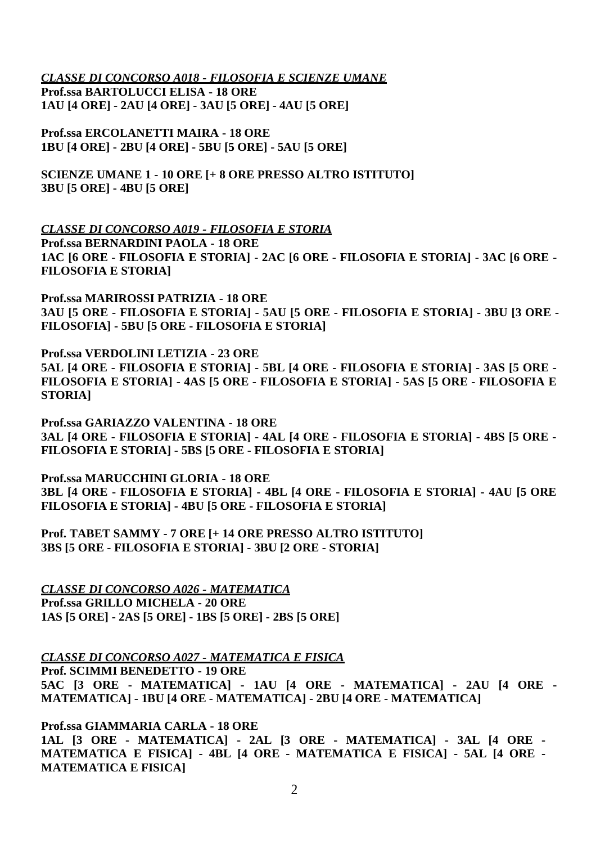*CLASSE DI CONCORSO A018 - FILOSOFIA E SCIENZE UMANE*

**Prof.ssa BARTOLUCCI ELISA - 18 ORE 1AU [4 ORE] - 2AU [4 ORE] - 3AU [5 ORE] - 4AU [5 ORE]**

**Prof.ssa ERCOLANETTI MAIRA - 18 ORE 1BU [4 ORE] - 2BU [4 ORE] - 5BU [5 ORE] - 5AU [5 ORE]** 

**SCIENZE UMANE 1 - 10 ORE [+ 8 ORE PRESSO ALTRO ISTITUTO] 3BU [5 ORE] - 4BU [5 ORE]**

*CLASSE DI CONCORSO A019 - FILOSOFIA E STORIA* **Prof.ssa BERNARDINI PAOLA - 18 ORE 1AC [6 ORE - FILOSOFIA E STORIA] - 2AC [6 ORE - FILOSOFIA E STORIA] - 3AC [6 ORE - FILOSOFIA E STORIA]**

**Prof.ssa MARIROSSI PATRIZIA - 18 ORE 3AU [5 ORE - FILOSOFIA E STORIA] - 5AU [5 ORE - FILOSOFIA E STORIA] - 3BU [3 ORE - FILOSOFIA] - 5BU [5 ORE - FILOSOFIA E STORIA]** 

**Prof.ssa VERDOLINI LETIZIA - 23 ORE 5AL [4 ORE - FILOSOFIA E STORIA] - 5BL [4 ORE - FILOSOFIA E STORIA] - 3AS [5 ORE - FILOSOFIA E STORIA] - 4AS [5 ORE - FILOSOFIA E STORIA] - 5AS [5 ORE - FILOSOFIA E STORIA]**

**Prof.ssa GARIAZZO VALENTINA - 18 ORE 3AL [4 ORE - FILOSOFIA E STORIA] - 4AL [4 ORE - FILOSOFIA E STORIA] - 4BS [5 ORE - FILOSOFIA E STORIA] - 5BS [5 ORE - FILOSOFIA E STORIA]**

**Prof.ssa MARUCCHINI GLORIA - 18 ORE 3BL [4 ORE - FILOSOFIA E STORIA] - 4BL [4 ORE - FILOSOFIA E STORIA] - 4AU [5 ORE FILOSOFIA E STORIA] - 4BU [5 ORE - FILOSOFIA E STORIA]** 

**Prof. TABET SAMMY - 7 ORE [+ 14 ORE PRESSO ALTRO ISTITUTO] 3BS [5 ORE - FILOSOFIA E STORIA] - 3BU [2 ORE - STORIA]** 

*CLASSE DI CONCORSO A026 - MATEMATICA* **Prof.ssa GRILLO MICHELA - 20 ORE 1AS [5 ORE] - 2AS [5 ORE] - 1BS [5 ORE] - 2BS [5 ORE]**

*CLASSE DI CONCORSO A027 - MATEMATICA E FISICA*

**Prof. SCIMMI BENEDETTO - 19 ORE 5AC [3 ORE - MATEMATICA] - 1AU [4 ORE - MATEMATICA] - 2AU [4 ORE - MATEMATICA] - 1BU [4 ORE - MATEMATICA] - 2BU [4 ORE - MATEMATICA]**

**Prof.ssa GIAMMARIA CARLA - 18 ORE 1AL [3 ORE - MATEMATICA] - 2AL [3 ORE - MATEMATICA] - 3AL [4 ORE - MATEMATICA E FISICA] - 4BL [4 ORE - MATEMATICA E FISICA] - 5AL [4 ORE - MATEMATICA E FISICA]**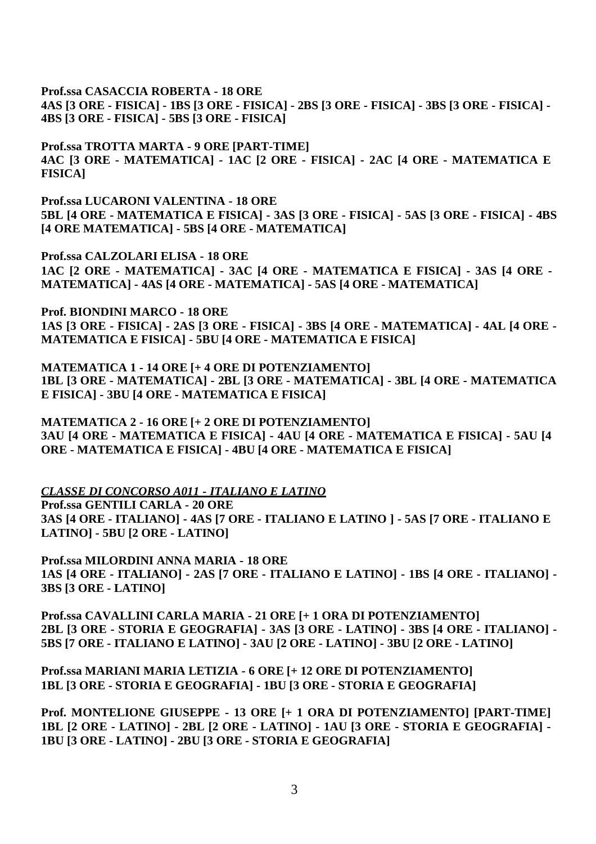**Prof.ssa CASACCIA ROBERTA - 18 ORE**

**4AS [3 ORE - FISICA] - 1BS [3 ORE - FISICA] - 2BS [3 ORE - FISICA] - 3BS [3 ORE - FISICA] - 4BS [3 ORE - FISICA] - 5BS [3 ORE - FISICA]**

**Prof.ssa TROTTA MARTA - 9 ORE [PART-TIME] 4AC [3 ORE - MATEMATICA] - 1AC [2 ORE - FISICA] - 2AC [4 ORE - MATEMATICA E FISICA]** 

**Prof.ssa LUCARONI VALENTINA - 18 ORE 5BL [4 ORE - MATEMATICA E FISICA] - 3AS [3 ORE - FISICA] - 5AS [3 ORE - FISICA] - 4BS [4 ORE MATEMATICA] - 5BS [4 ORE - MATEMATICA]**

**Prof.ssa CALZOLARI ELISA - 18 ORE 1AC [2 ORE - MATEMATICA] - 3AC [4 ORE - MATEMATICA E FISICA] - 3AS [4 ORE - MATEMATICA] - 4AS [4 ORE - MATEMATICA] - 5AS [4 ORE - MATEMATICA]**

**Prof. BIONDINI MARCO - 18 ORE 1AS [3 ORE - FISICA] - 2AS [3 ORE - FISICA] - 3BS [4 ORE - MATEMATICA] - 4AL [4 ORE - MATEMATICA E FISICA] - 5BU [4 ORE - MATEMATICA E FISICA]** 

**MATEMATICA 1 - 14 ORE [+ 4 ORE DI POTENZIAMENTO] 1BL [3 ORE - MATEMATICA] - 2BL [3 ORE - MATEMATICA] - 3BL [4 ORE - MATEMATICA E FISICA] - 3BU [4 ORE - MATEMATICA E FISICA]** 

**MATEMATICA 2 - 16 ORE [+ 2 ORE DI POTENZIAMENTO] 3AU [4 ORE - MATEMATICA E FISICA] - 4AU [4 ORE - MATEMATICA E FISICA] - 5AU [4 ORE - MATEMATICA E FISICA] - 4BU [4 ORE - MATEMATICA E FISICA]**

*CLASSE DI CONCORSO A011 - ITALIANO E LATINO*

**Prof.ssa GENTILI CARLA - 20 ORE 3AS [4 ORE - ITALIANO] - 4AS [7 ORE - ITALIANO E LATINO ] - 5AS [7 ORE - ITALIANO E LATINO] - 5BU [2 ORE - LATINO]** 

**Prof.ssa MILORDINI ANNA MARIA - 18 ORE 1AS [4 ORE - ITALIANO] - 2AS [7 ORE - ITALIANO E LATINO] - 1BS [4 ORE - ITALIANO] - 3BS [3 ORE - LATINO]**

**Prof.ssa CAVALLINI CARLA MARIA - 21 ORE [+ 1 ORA DI POTENZIAMENTO] 2BL [3 ORE - STORIA E GEOGRAFIA] - 3AS [3 ORE - LATINO] - 3BS [4 ORE - ITALIANO] - 5BS [7 ORE - ITALIANO E LATINO] - 3AU [2 ORE - LATINO] - 3BU [2 ORE - LATINO]**

**Prof.ssa MARIANI MARIA LETIZIA - 6 ORE [+ 12 ORE DI POTENZIAMENTO] 1BL [3 ORE - STORIA E GEOGRAFIA] - 1BU [3 ORE - STORIA E GEOGRAFIA]**

**Prof. MONTELIONE GIUSEPPE - 13 ORE [+ 1 ORA DI POTENZIAMENTO] [PART-TIME] 1BL [2 ORE - LATINO] - 2BL [2 ORE - LATINO] - 1AU [3 ORE - STORIA E GEOGRAFIA] - 1BU [3 ORE - LATINO] - 2BU [3 ORE - STORIA E GEOGRAFIA]**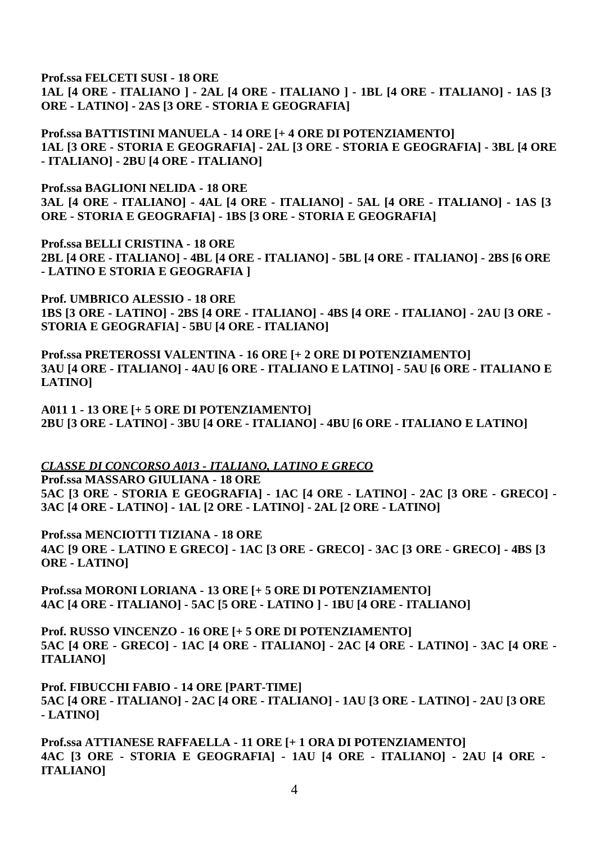## **Prof.ssa FELCETI SUSI - 18 ORE**

**1AL [4 ORE - ITALIANO ] - 2AL [4 ORE - ITALIANO ] - 1BL [4 ORE - ITALIANO] - 1AS [3 ORE - LATINO] - 2AS [3 ORE - STORIA E GEOGRAFIA]** 

**Prof.ssa BATTISTINI MANUELA - 14 ORE [+ 4 ORE DI POTENZIAMENTO] 1AL [3 ORE - STORIA E GEOGRAFIA] - 2AL [3 ORE - STORIA E GEOGRAFIA] - 3BL [4 ORE - ITALIANO] - 2BU [4 ORE - ITALIANO]**

**Prof.ssa BAGLIONI NELIDA - 18 ORE 3AL [4 ORE - ITALIANO] - 4AL [4 ORE - ITALIANO] - 5AL [4 ORE - ITALIANO] - 1AS [3 ORE - STORIA E GEOGRAFIA] - 1BS [3 ORE - STORIA E GEOGRAFIA]**

**Prof.ssa BELLI CRISTINA - 18 ORE 2BL [4 ORE - ITALIANO] - 4BL [4 ORE - ITALIANO] - 5BL [4 ORE - ITALIANO] - 2BS [6 ORE - LATINO E STORIA E GEOGRAFIA ]** 

**Prof. UMBRICO ALESSIO - 18 ORE 1BS [3 ORE - LATINO] - 2BS [4 ORE - ITALIANO] - 4BS [4 ORE - ITALIANO] - 2AU [3 ORE - STORIA E GEOGRAFIA] - 5BU [4 ORE - ITALIANO]** 

**Prof.ssa PRETEROSSI VALENTINA - 16 ORE [+ 2 ORE DI POTENZIAMENTO] 3AU [4 ORE - ITALIANO] - 4AU [6 ORE - ITALIANO E LATINO] - 5AU [6 ORE - ITALIANO E LATINO]** 

**A011 1 - 13 ORE [+ 5 ORE DI POTENZIAMENTO] 2BU [3 ORE - LATINO] - 3BU [4 ORE - ITALIANO] - 4BU [6 ORE - ITALIANO E LATINO]** 

*CLASSE DI CONCORSO A013 - ITALIANO, LATINO E GRECO*

**Prof.ssa MASSARO GIULIANA - 18 ORE 5AC [3 ORE - STORIA E GEOGRAFIA] - 1AC [4 ORE - LATINO] - 2AC [3 ORE - GRECO] - 3AC [4 ORE - LATINO] - 1AL [2 ORE - LATINO] - 2AL [2 ORE - LATINO]** 

**Prof.ssa MENCIOTTI TIZIANA - 18 ORE 4AC [9 ORE - LATINO E GRECO] - 1AC [3 ORE - GRECO] - 3AC [3 ORE - GRECO] - 4BS [3 ORE - LATINO]**

**Prof.ssa MORONI LORIANA - 13 ORE [+ 5 ORE DI POTENZIAMENTO] 4AC [4 ORE - ITALIANO] - 5AC [5 ORE - LATINO ] - 1BU [4 ORE - ITALIANO]**

**Prof. RUSSO VINCENZO - 16 ORE [+ 5 ORE DI POTENZIAMENTO] 5AC [4 ORE - GRECO] - 1AC [4 ORE - ITALIANO] - 2AC [4 ORE - LATINO] - 3AC [4 ORE - ITALIANO]** 

**Prof. FIBUCCHI FABIO - 14 ORE [PART-TIME] 5AC [4 ORE - ITALIANO] - 2AC [4 ORE - ITALIANO] - 1AU [3 ORE - LATINO] - 2AU [3 ORE - LATINO]** 

**Prof.ssa ATTIANESE RAFFAELLA - 11 ORE [+ 1 ORA DI POTENZIAMENTO] 4AC [3 ORE - STORIA E GEOGRAFIA] - 1AU [4 ORE - ITALIANO] - 2AU [4 ORE - ITALIANO]**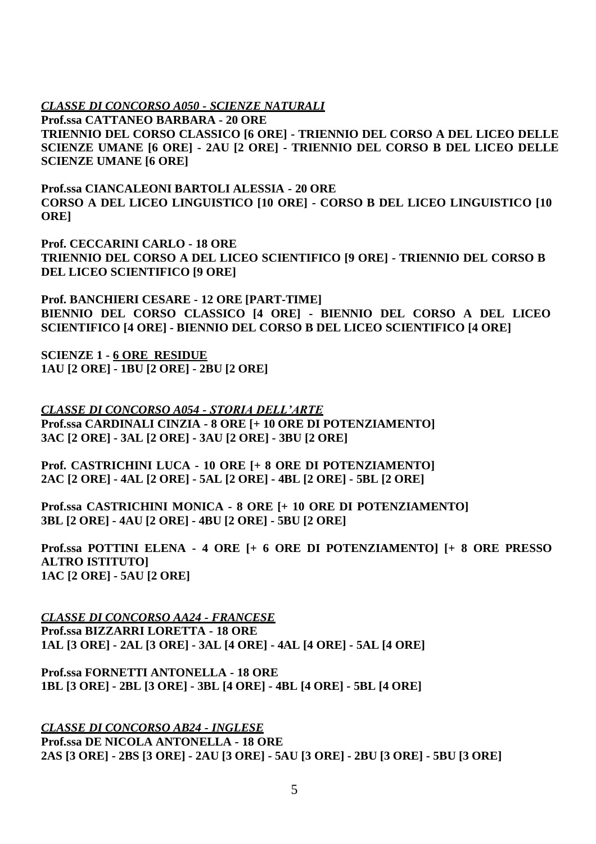*CLASSE DI CONCORSO A050 - SCIENZE NATURALI*

**Prof.ssa CATTANEO BARBARA - 20 ORE TRIENNIO DEL CORSO CLASSICO [6 ORE] - TRIENNIO DEL CORSO A DEL LICEO DELLE SCIENZE UMANE [6 ORE] - 2AU [2 ORE] - TRIENNIO DEL CORSO B DEL LICEO DELLE SCIENZE UMANE [6 ORE]**

**Prof.ssa CIANCALEONI BARTOLI ALESSIA - 20 ORE CORSO A DEL LICEO LINGUISTICO [10 ORE] - CORSO B DEL LICEO LINGUISTICO [10 ORE]** 

**Prof. CECCARINI CARLO - 18 ORE TRIENNIO DEL CORSO A DEL LICEO SCIENTIFICO [9 ORE] - TRIENNIO DEL CORSO B DEL LICEO SCIENTIFICO [9 ORE]**

**Prof. BANCHIERI CESARE - 12 ORE [PART-TIME] BIENNIO DEL CORSO CLASSICO [4 ORE] - BIENNIO DEL CORSO A DEL LICEO SCIENTIFICO [4 ORE] - BIENNIO DEL CORSO B DEL LICEO SCIENTIFICO [4 ORE]** 

**SCIENZE 1 - 6 ORE RESIDUE 1AU [2 ORE] - 1BU [2 ORE] - 2BU [2 ORE]** 

*CLASSE DI CONCORSO A054 - STORIA DELL'ARTE* **Prof.ssa CARDINALI CINZIA - 8 ORE [+ 10 ORE DI POTENZIAMENTO] 3AC [2 ORE] - 3AL [2 ORE] - 3AU [2 ORE] - 3BU [2 ORE]**

**Prof. CASTRICHINI LUCA - 10 ORE [+ 8 ORE DI POTENZIAMENTO] 2AC [2 ORE] - 4AL [2 ORE] - 5AL [2 ORE] - 4BL [2 ORE] - 5BL [2 ORE]** 

**Prof.ssa CASTRICHINI MONICA - 8 ORE [+ 10 ORE DI POTENZIAMENTO] 3BL [2 ORE] - 4AU [2 ORE] - 4BU [2 ORE] - 5BU [2 ORE]** 

**Prof.ssa POTTINI ELENA - 4 ORE [+ 6 ORE DI POTENZIAMENTO] [+ 8 ORE PRESSO ALTRO ISTITUTO] 1AC [2 ORE] - 5AU [2 ORE]**

*CLASSE DI CONCORSO AA24 - FRANCESE* **Prof.ssa BIZZARRI LORETTA - 18 ORE 1AL [3 ORE] - 2AL [3 ORE] - 3AL [4 ORE] - 4AL [4 ORE] - 5AL [4 ORE]**

**Prof.ssa FORNETTI ANTONELLA - 18 ORE 1BL [3 ORE] - 2BL [3 ORE] - 3BL [4 ORE] - 4BL [4 ORE] - 5BL [4 ORE]**

*CLASSE DI CONCORSO AB24 - INGLESE* **Prof.ssa DE NICOLA ANTONELLA - 18 ORE 2AS [3 ORE] - 2BS [3 ORE] - 2AU [3 ORE] - 5AU [3 ORE] - 2BU [3 ORE] - 5BU [3 ORE]**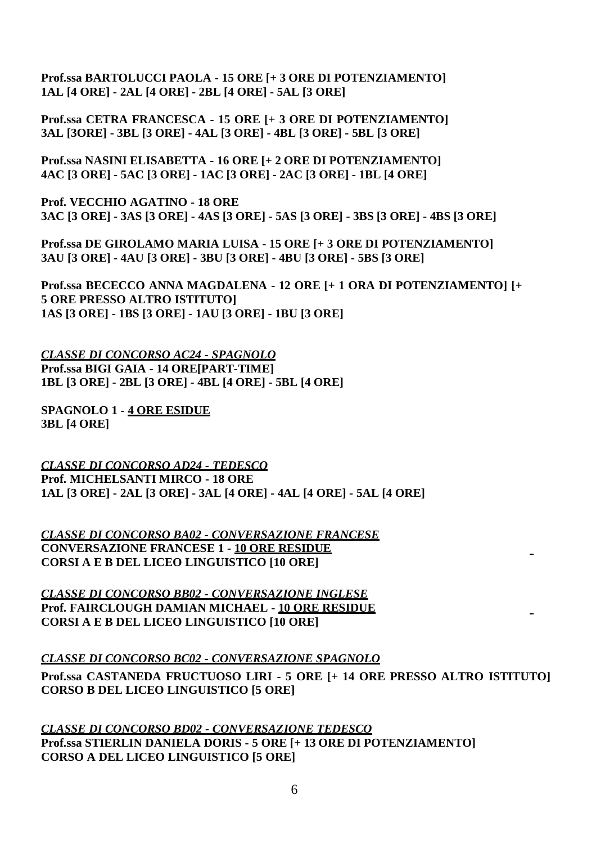**Prof.ssa BARTOLUCCI PAOLA - 15 ORE [+ 3 ORE DI POTENZIAMENTO] 1AL [4 ORE] - 2AL [4 ORE] - 2BL [4 ORE] - 5AL [3 ORE]** 

**Prof.ssa CETRA FRANCESCA - 15 ORE [+ 3 ORE DI POTENZIAMENTO] 3AL [3ORE] - 3BL [3 ORE] - 4AL [3 ORE] - 4BL [3 ORE] - 5BL [3 ORE]** 

**Prof.ssa NASINI ELISABETTA - 16 ORE [+ 2 ORE DI POTENZIAMENTO] 4AC [3 ORE] - 5AC [3 ORE] - 1AC [3 ORE] - 2AC [3 ORE] - 1BL [4 ORE]** 

**Prof. VECCHIO AGATINO - 18 ORE 3AC [3 ORE] - 3AS [3 ORE] - 4AS [3 ORE] - 5AS [3 ORE] - 3BS [3 ORE] - 4BS [3 ORE]**

**Prof.ssa DE GIROLAMO MARIA LUISA - 15 ORE [+ 3 ORE DI POTENZIAMENTO] 3AU [3 ORE] - 4AU [3 ORE] - 3BU [3 ORE] - 4BU [3 ORE] - 5BS [3 ORE]**

**Prof.ssa BECECCO ANNA MAGDALENA - 12 ORE [+ 1 ORA DI POTENZIAMENTO] [+ 5 ORE PRESSO ALTRO ISTITUTO] 1AS [3 ORE] - 1BS [3 ORE] - 1AU [3 ORE] - 1BU [3 ORE]**

*CLASSE DI CONCORSO AC24 - SPAGNOLO* **Prof.ssa BIGI GAIA - 14 ORE[PART-TIME] 1BL [3 ORE] - 2BL [3 ORE] - 4BL [4 ORE] - 5BL [4 ORE]**

**SPAGNOLO 1 - 4 ORE ESIDUE 3BL [4 ORE]**

*CLASSE DI CONCORSO AD24 - TEDESCO* **Prof. MICHELSANTI MIRCO - 18 ORE 1AL [3 ORE] - 2AL [3 ORE] - 3AL [4 ORE] - 4AL [4 ORE] - 5AL [4 ORE]**

*CLASSE DI CONCORSO BA02 - CONVERSAZIONE FRANCESE* **CONVERSAZIONE FRANCESE 1 - 10 ORE RESIDUE CORSI A E B DEL LICEO LINGUISTICO [10 ORE]**

*CLASSE DI CONCORSO BB02 - CONVERSAZIONE INGLESE* **Prof. FAIRCLOUGH DAMIAN MICHAEL - 10 ORE RESIDUE CORSI A E B DEL LICEO LINGUISTICO [10 ORE]**

*CLASSE DI CONCORSO BC02 - CONVERSAZIONE SPAGNOLO*

**Prof.ssa CASTANEDA FRUCTUOSO LIRI - 5 ORE [+ 14 ORE PRESSO ALTRO ISTITUTO] CORSO B DEL LICEO LINGUISTICO [5 ORE]**

*CLASSE DI CONCORSO BD02 - CONVERSAZIONE TEDESCO* **Prof.ssa STIERLIN DANIELA DORIS - 5 ORE [+ 13 ORE DI POTENZIAMENTO] CORSO A DEL LICEO LINGUISTICO [5 ORE]**